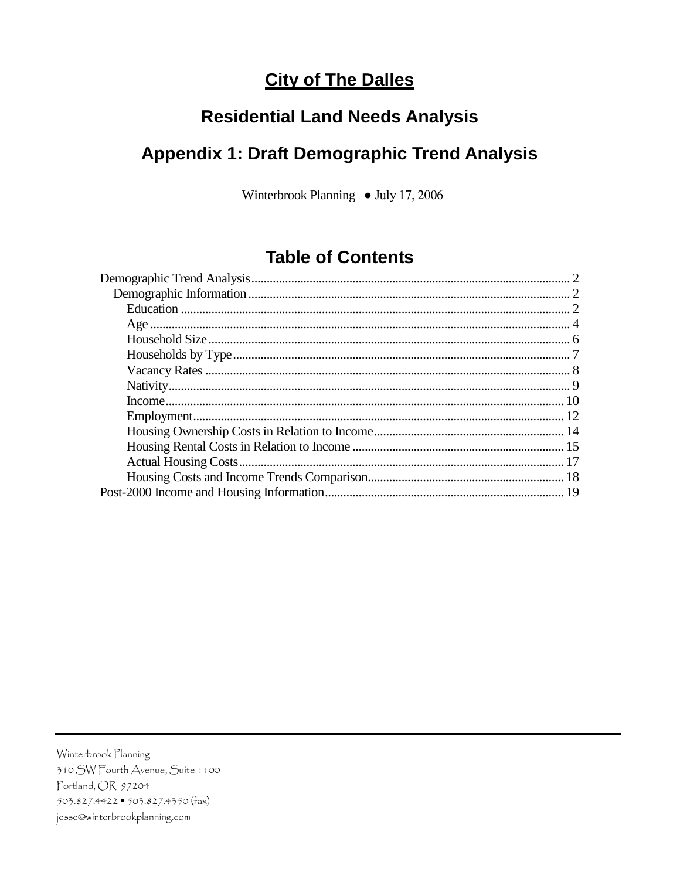# **City of The Dalles**

# **Residential Land Needs Analysis**

# **Appendix 1: Draft Demographic Trend Analysis**

Winterbrook Planning • July 17, 2006

## **Table of Contents**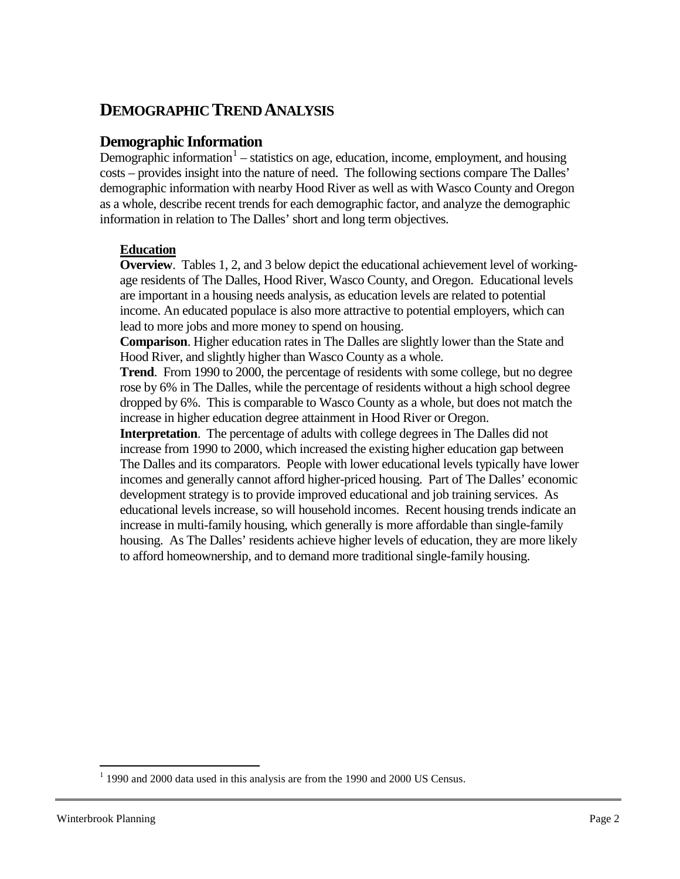## <span id="page-1-0"></span>**DEMOGRAPHIC TREND ANALYSIS**

### <span id="page-1-1"></span>**Demographic Information**

Demographic information<sup>[1](#page-1-3)</sup> – statistics on age, education, income, employment, and housing costs – provides insight into the nature of need. The following sections compare The Dalles' demographic information with nearby Hood River as well as with Wasco County and Oregon as a whole, describe recent trends for each demographic factor, and analyze the demographic information in relation to The Dalles' short and long term objectives.

### <span id="page-1-2"></span>**Education**

**Overview**. Tables 1, 2, and 3 below depict the educational achievement level of workingage residents of The Dalles, Hood River, Wasco County, and Oregon. Educational levels are important in a housing needs analysis, as education levels are related to potential income. An educated populace is also more attractive to potential employers, which can lead to more jobs and more money to spend on housing.

**Comparison**. Higher education rates in The Dalles are slightly lower than the State and Hood River, and slightly higher than Wasco County as a whole.

**Trend**. From 1990 to 2000, the percentage of residents with some college, but no degree rose by 6% in The Dalles, while the percentage of residents without a high school degree dropped by 6%. This is comparable to Wasco County as a whole, but does not match the increase in higher education degree attainment in Hood River or Oregon.

**Interpretation**. The percentage of adults with college degrees in The Dalles did not increase from 1990 to 2000, which increased the existing higher education gap between The Dalles and its comparators. People with lower educational levels typically have lower incomes and generally cannot afford higher-priced housing. Part of The Dalles' economic development strategy is to provide improved educational and job training services. As educational levels increase, so will household incomes. Recent housing trends indicate an increase in multi-family housing, which generally is more affordable than single-family housing. As The Dalles' residents achieve higher levels of education, they are more likely to afford homeownership, and to demand more traditional single-family housing.

<span id="page-1-3"></span> $1$  1990 and 2000 data used in this analysis are from the 1990 and 2000 US Census.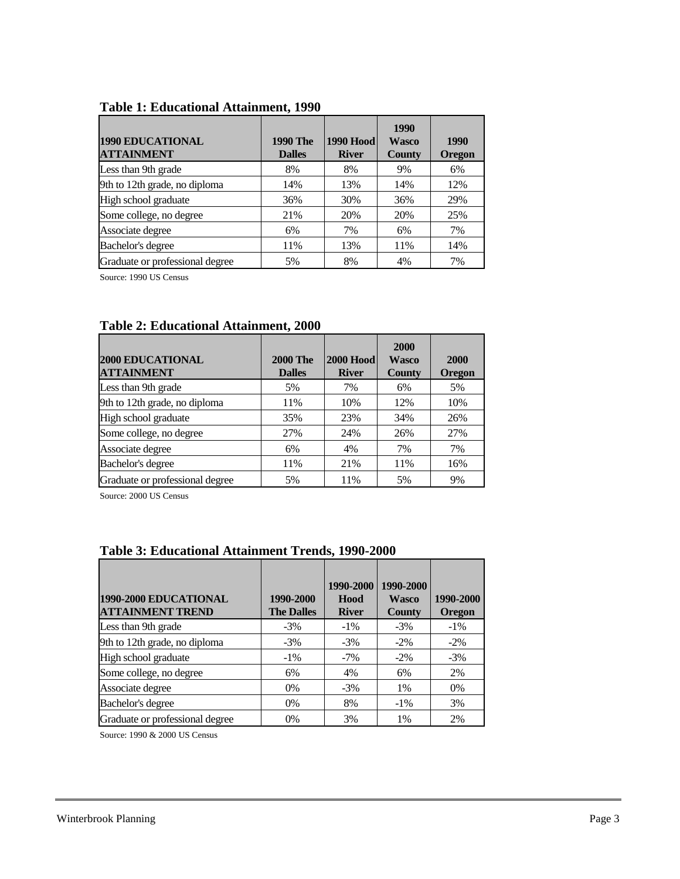| <b>1990 EDUCATIONAL</b><br><b>ATTAINMENT</b> | <b>1990 The</b><br><b>Dalles</b> | <b>1990 Hood</b><br><b>River</b> | 1990<br>Wasco<br><b>County</b> | 1990<br><b>Oregon</b> |
|----------------------------------------------|----------------------------------|----------------------------------|--------------------------------|-----------------------|
| Less than 9th grade                          | 8%                               | 8%                               | 9%                             | 6%                    |
| 9th to 12th grade, no diploma                | 14%                              | 13%                              | 14%                            | 12%                   |
| High school graduate                         | 36%                              | 30%                              | 36%                            | 29%                   |
| Some college, no degree                      | 21%                              | 20%                              | 20%                            | 25%                   |
| Associate degree                             | 6%                               | 7%                               | 6%                             | 7%                    |
| Bachelor's degree                            | 11%                              | 13%                              | 11%                            | 14%                   |
| Graduate or professional degree              | 5%                               | 8%                               | 4%                             | 7%                    |

### **Table 1: Educational Attainment, 1990**

Source: 1990 US Census

| <b>2000 EDUCATIONAL</b><br><b>ATTAINMENT</b> | <b>2000 The</b><br><b>Dalles</b> | <b>2000 Hood</b><br><b>River</b> | <b>2000</b><br><b>Wasco</b><br><b>County</b> | <b>2000</b><br><b>Oregon</b> |
|----------------------------------------------|----------------------------------|----------------------------------|----------------------------------------------|------------------------------|
| Less than 9th grade                          | 5%                               | 7%                               | 6%                                           | 5%                           |
| 9th to 12th grade, no diploma                | 11%                              | 10%                              | 12%                                          | 10%                          |
| High school graduate                         | 35%                              | 23%                              | 34%                                          | 26%                          |
| Some college, no degree                      | 27%                              | 24%                              | 26%                                          | 27%                          |
| Associate degree                             | 6%                               | 4%                               | 7%                                           | 7%                           |
| Bachelor's degree                            | 11%                              | 21%                              | 11%                                          | 16%                          |
| Graduate or professional degree              | 5%                               | 11%                              | 5%                                           | 9%                           |

### **Table 2: Educational Attainment, 2000**

Source: 2000 US Census

| 1990-2000 EDUCATIONAL<br><b>ATTAINMENT TREND</b> | 1990-2000<br><b>The Dalles</b> | 1990-2000<br>Hood<br><b>River</b> | 1990-2000<br><b>Wasco</b><br><b>County</b> | 1990-2000<br><b>Oregon</b> |  |
|--------------------------------------------------|--------------------------------|-----------------------------------|--------------------------------------------|----------------------------|--|
| Less than 9th grade                              | $-3%$                          | $-1\%$                            | $-3\%$                                     | $-1\%$                     |  |
| 9th to 12th grade, no diploma                    | $-3\%$                         | $-3\%$                            | $-2\%$                                     | $-2\%$                     |  |
| High school graduate                             | $-1\%$                         | $-7\%$                            | $-2\%$                                     | $-3\%$                     |  |
| Some college, no degree                          | 6%                             | 4%                                | 6%                                         | 2%                         |  |
| Associate degree                                 | $0\%$                          | $-3\%$                            | 1%                                         | $0\%$                      |  |
| Bachelor's degree                                | $0\%$                          | 8%                                | $-1\%$                                     | 3%                         |  |
| Graduate or professional degree                  | $0\%$                          | 3%                                | 1%                                         | 2%                         |  |

### **Table 3: Educational Attainment Trends, 1990-2000**

Source: 1990 & 2000 US Census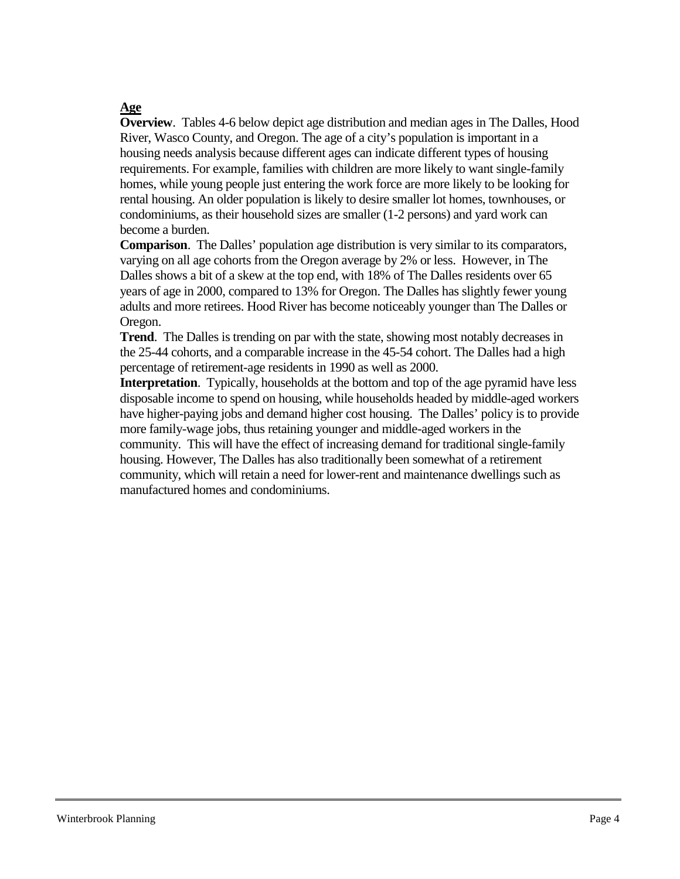### <span id="page-3-0"></span>**Age**

**Overview**. Tables 4-6 below depict age distribution and median ages in The Dalles, Hood River, Wasco County, and Oregon. The age of a city's population is important in a housing needs analysis because different ages can indicate different types of housing requirements. For example, families with children are more likely to want single-family homes, while young people just entering the work force are more likely to be looking for rental housing. An older population is likely to desire smaller lot homes, townhouses, or condominiums, as their household sizes are smaller (1-2 persons) and yard work can become a burden.

**Comparison**. The Dalles' population age distribution is very similar to its comparators, varying on all age cohorts from the Oregon average by 2% or less. However, in The Dalles shows a bit of a skew at the top end, with 18% of The Dalles residents over 65 years of age in 2000, compared to 13% for Oregon. The Dalles has slightly fewer young adults and more retirees. Hood River has become noticeably younger than The Dalles or Oregon.

**Trend**. The Dalles is trending on par with the state, showing most notably decreases in the 25-44 cohorts, and a comparable increase in the 45-54 cohort. The Dalles had a high percentage of retirement-age residents in 1990 as well as 2000.

**Interpretation**. Typically, households at the bottom and top of the age pyramid have less disposable income to spend on housing, while households headed by middle-aged workers have higher-paying jobs and demand higher cost housing. The Dalles' policy is to provide more family-wage jobs, thus retaining younger and middle-aged workers in the community. This will have the effect of increasing demand for traditional single-family housing. However, The Dalles has also traditionally been somewhat of a retirement community, which will retain a need for lower-rent and maintenance dwellings such as manufactured homes and condominiums.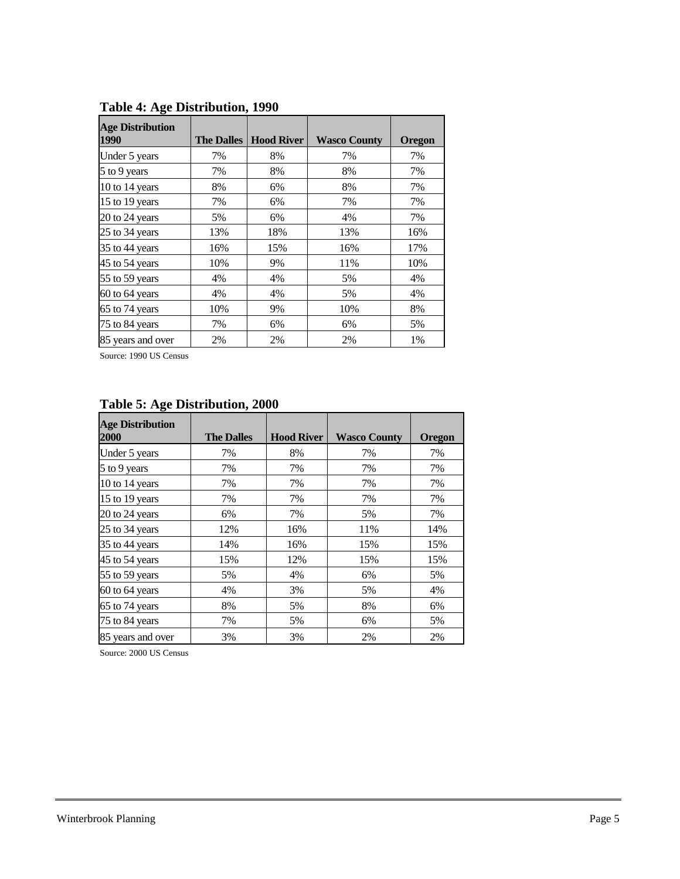| <b>Age Distribution</b><br>1990 | <b>The Dalles</b> | <b>Hood River</b> | <b>Wasco County</b> | <b>Oregon</b> |
|---------------------------------|-------------------|-------------------|---------------------|---------------|
| Under 5 years                   | 7%                | 8%                | 7%                  | 7%            |
| 5 to 9 years                    | 7%                | 8%                | 8%                  | 7%            |
| 10 to 14 years                  | 8%                | 6%                | 8%                  | 7%            |
| 15 to 19 years                  | 7%                | 6%                | 7%                  | 7%            |
| 20 to 24 years                  | 5%                | 6%                | 4%                  | 7%            |
| 25 to 34 years                  | 13%               | 18%               | 13%                 | 16%           |
| 35 to 44 years                  | 16%               | 15%               | 16%                 | 17%           |
| 45 to 54 years                  | 10%               | 9%                | 11%                 | 10%           |
| 55 to 59 years                  | 4%                | 4%                | 5%                  | 4%            |
| 60 to 64 years                  | 4%                | 4%                | 5%                  | 4%            |
| 65 to 74 years                  | 10%               | 9%                | 10%                 | 8%            |
| 75 to 84 years                  | 7%                | 6%                | 6%                  | 5%            |
| 85 years and over               | 2%                | 2%                | 2%                  | 1%            |

**Table 4: Age Distribution, 1990**

Source: 1990 US Census

| <b>Age Distribution</b><br>2000 | <b>The Dalles</b> | <b>Hood River</b> | <b>Wasco County</b> | <b>Oregon</b> |
|---------------------------------|-------------------|-------------------|---------------------|---------------|
| Under 5 years                   | 7%                | 8%                | 7%                  | 7%            |
| 5 to 9 years                    | 7%                | 7%                | 7%                  | 7%            |
| 10 to 14 years                  | 7%                | 7%                | 7%                  | 7%            |
| 15 to 19 years                  | 7%                | 7%                | 7%                  | 7%            |
| 20 to 24 years                  | 6%                | 7%                | 5%                  | 7%            |
| 25 to 34 years                  | 12%               | 16%               | 11%                 | 14%           |
| 35 to 44 years                  | 14%               | 16%               | 15%                 | 15%           |
| 45 to 54 years                  | 15%               | 12%               | 15%                 | 15%           |
| 55 to 59 years                  | 5%                | 4%                | 6%                  | 5%            |
| 60 to 64 years                  | 4%                | 3%                | 5%                  | 4%            |
| 65 to 74 years                  | 8%                | 5%                | 8%                  | 6%            |
| 75 to 84 years                  | 7%                | 5%                | 6%                  | 5%            |
| 85 years and over               | 3%                | 3%                | 2%                  | 2%            |

### **Table 5: Age Distribution, 2000**

Source: 2000 US Census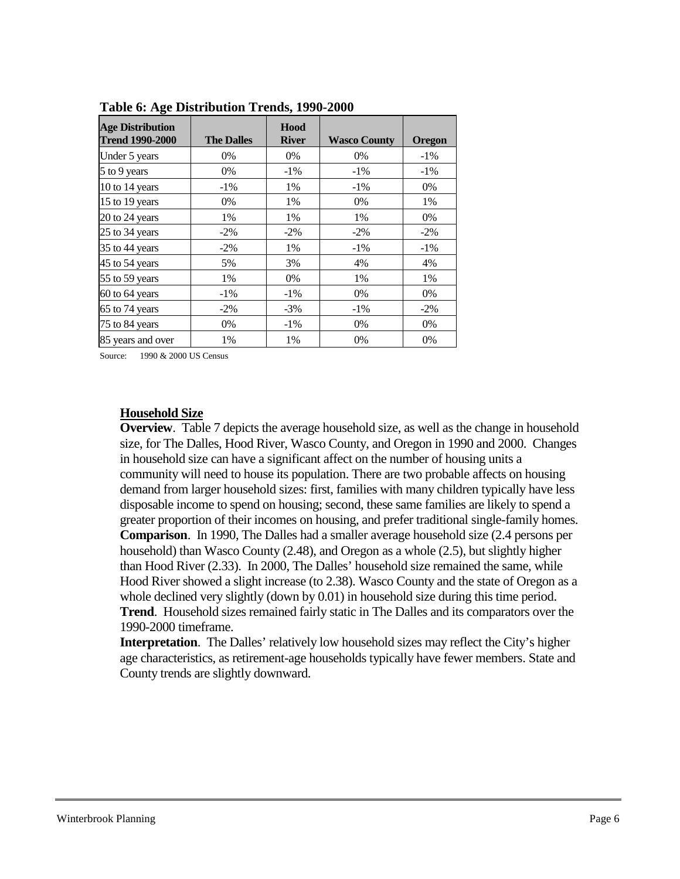| <b>Age Distribution</b><br><b>Trend 1990-2000</b> | <b>The Dalles</b> | Hood<br><b>River</b> | <b>Wasco County</b> | Oregon |
|---------------------------------------------------|-------------------|----------------------|---------------------|--------|
| Under 5 years                                     | $0\%$             | 0%                   | 0%                  | $-1\%$ |
| 5 to 9 years                                      | $0\%$             | $-1\%$               | $-1\%$              | $-1\%$ |
| 10 to 14 years                                    | $-1\%$            | 1%                   | $-1\%$              | 0%     |
| 15 to 19 years                                    | $0\%$             | 1%                   | 0%                  | 1%     |
| 20 to 24 years                                    | 1%                | 1%                   | 1%                  | 0%     |
| 25 to 34 years                                    | $-2\%$            | $-2\%$               | $-2\%$              | $-2\%$ |
| 35 to 44 years                                    | $-2\%$            | 1%                   | $-1\%$              | $-1\%$ |
| 45 to 54 years                                    | 5%                | 3%                   | 4%                  | 4%     |
| 55 to 59 years                                    | 1%                | $0\%$                | 1%                  | 1%     |
| 60 to 64 years                                    | $-1\%$            | $-1\%$               | 0%                  | 0%     |
| 65 to 74 years                                    | $-2\%$            | $-3\%$               | $-1\%$              | $-2\%$ |
| 75 to 84 years                                    | 0%                | $-1\%$               | 0%                  | 0%     |
| 85 years and over                                 | 1%                | 1%                   | 0%                  | $0\%$  |

**Table 6: Age Distribution Trends, 1990-2000**

Source: 1990 & 2000 US Census

#### <span id="page-5-0"></span>**Household Size**

**Overview**. Table 7 depicts the average household size, as well as the change in household size, for The Dalles, Hood River, Wasco County, and Oregon in 1990 and 2000. Changes in household size can have a significant affect on the number of housing units a community will need to house its population. There are two probable affects on housing demand from larger household sizes: first, families with many children typically have less disposable income to spend on housing; second, these same families are likely to spend a greater proportion of their incomes on housing, and prefer traditional single-family homes. **Comparison**. In 1990, The Dalles had a smaller average household size (2.4 persons per household) than Wasco County (2.48), and Oregon as a whole (2.5), but slightly higher than Hood River (2.33). In 2000, The Dalles' household size remained the same, while Hood River showed a slight increase (to 2.38). Wasco County and the state of Oregon as a whole declined very slightly (down by 0.01) in household size during this time period. **Trend**. Household sizes remained fairly static in The Dalles and its comparators over the 1990-2000 timeframe.

**Interpretation**. The Dalles' relatively low household sizes may reflect the City's higher age characteristics, as retirement-age households typically have fewer members. State and County trends are slightly downward.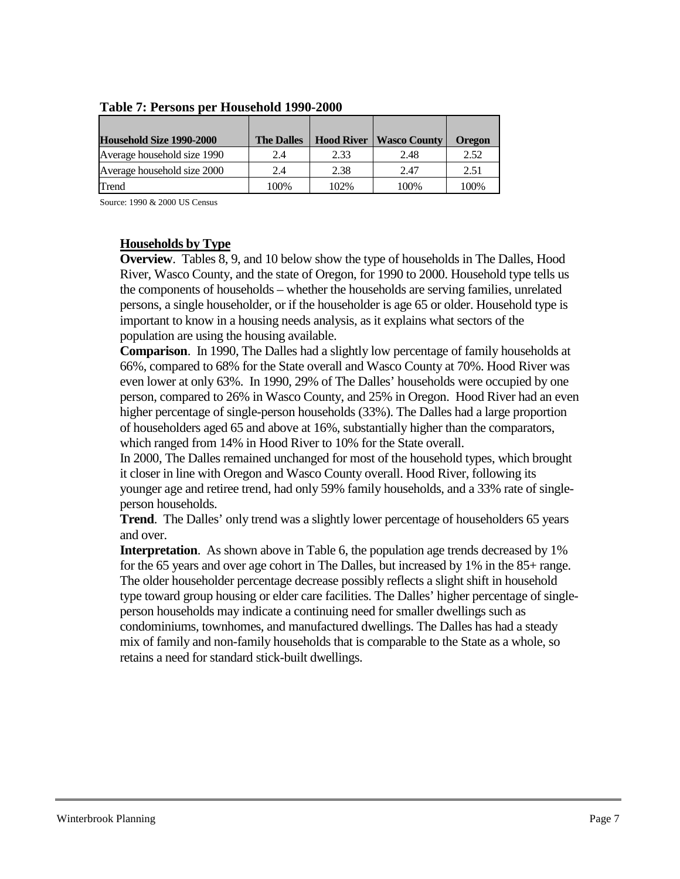| Household Size 1990-2000    | <b>The Dalles</b> | <b>Hood River</b> | <b>Wasco County</b> | <b>Oregon</b> |
|-----------------------------|-------------------|-------------------|---------------------|---------------|
| Average household size 1990 | 2.4               | 2.33              | 2.48                | 2.52          |
| Average household size 2000 | 2.4               | 2.38              | 2.47                | 2.51          |
| Trend                       | 100%              | 102%              | 100%                | 100%          |

### **Table 7: Persons per Household 1990-2000**

Source: 1990 & 2000 US Census

### <span id="page-6-0"></span>**Households by Type**

**Overview**. Tables 8, 9, and 10 below show the type of households in The Dalles, Hood River, Wasco County, and the state of Oregon, for 1990 to 2000. Household type tells us the components of households – whether the households are serving families, unrelated persons, a single householder, or if the householder is age 65 or older. Household type is important to know in a housing needs analysis, as it explains what sectors of the population are using the housing available.

**Comparison**. In 1990, The Dalles had a slightly low percentage of family households at 66%, compared to 68% for the State overall and Wasco County at 70%. Hood River was even lower at only 63%. In 1990, 29% of The Dalles' households were occupied by one person, compared to 26% in Wasco County, and 25% in Oregon. Hood River had an even higher percentage of single-person households (33%). The Dalles had a large proportion of householders aged 65 and above at 16%, substantially higher than the comparators, which ranged from 14% in Hood River to 10% for the State overall.

In 2000, The Dalles remained unchanged for most of the household types, which brought it closer in line with Oregon and Wasco County overall. Hood River, following its younger age and retiree trend, had only 59% family households, and a 33% rate of singleperson households.

**Trend**. The Dalles' only trend was a slightly lower percentage of householders 65 years and over.

**Interpretation**. As shown above in Table 6, the population age trends decreased by 1% for the 65 years and over age cohort in The Dalles, but increased by 1% in the 85+ range. The older householder percentage decrease possibly reflects a slight shift in household type toward group housing or elder care facilities. The Dalles' higher percentage of singleperson households may indicate a continuing need for smaller dwellings such as condominiums, townhomes, and manufactured dwellings. The Dalles has had a steady mix of family and non-family households that is comparable to the State as a whole, so retains a need for standard stick-built dwellings.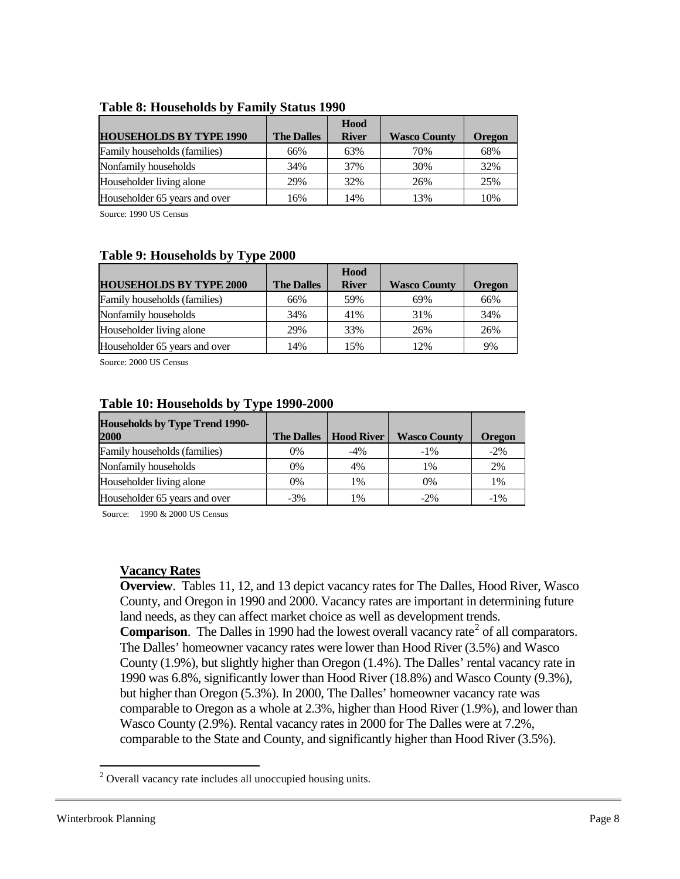|                                |                   | Hood         |                     |               |
|--------------------------------|-------------------|--------------|---------------------|---------------|
| <b>HOUSEHOLDS BY TYPE 1990</b> | <b>The Dalles</b> | <b>River</b> | <b>Wasco County</b> | <b>Oregon</b> |
| Family households (families)   | 66%               | 63%          | 70%                 | 68%           |
| Nonfamily households           | 34%               | 37%          | 30%                 | 32%           |
| Householder living alone       | 29%               | 32%          | 26%                 | 25%           |
| Householder 65 years and over  | 16%               | 14%          | 13%                 | 10%           |

#### **Table 8: Households by Family Status 1990**

Source: 1990 US Census

### **Table 9: Households by Type 2000**

|                                |                   | Hood         |                     |               |
|--------------------------------|-------------------|--------------|---------------------|---------------|
| <b>HOUSEHOLDS BY TYPE 2000</b> | <b>The Dalles</b> | <b>River</b> | <b>Wasco County</b> | <b>Oregon</b> |
| Family households (families)   | 66%               | 59%          | 69%                 | 66%           |
| Nonfamily households           | 34%               | 41%          | 31%                 | 34%           |
| Householder living alone       | 29%               | 33%          | 26%                 | 26%           |
| Householder 65 years and over  | 14%               | 15%          | 12%                 | 9%            |

Source: 2000 US Census

| $\frac{1}{2}$ and $\frac{1}{2}$ and $\frac{1}{2}$ and $\frac{1}{2}$ and $\frac{1}{2}$ and $\frac{1}{2}$ and $\frac{1}{2}$ and $\frac{1}{2}$ and $\frac{1}{2}$ and $\frac{1}{2}$ and $\frac{1}{2}$ and $\frac{1}{2}$ and $\frac{1}{2}$ and $\frac{1}{2}$ and $\frac{1}{2}$ and $\frac{1}{2}$ a |                   |                   |                     |               |  |  |
|-----------------------------------------------------------------------------------------------------------------------------------------------------------------------------------------------------------------------------------------------------------------------------------------------|-------------------|-------------------|---------------------|---------------|--|--|
| <b>Households by Type Trend 1990-</b><br>2000                                                                                                                                                                                                                                                 | <b>The Dalles</b> | <b>Hood River</b> | <b>Wasco County</b> | <b>Oregon</b> |  |  |
| Family households (families)                                                                                                                                                                                                                                                                  | 0%                | -4%               | $-1\%$              | $-2\%$        |  |  |
| Nonfamily households                                                                                                                                                                                                                                                                          | 0%                | 4%                | 1%                  | 2%            |  |  |
| Householder living alone                                                                                                                                                                                                                                                                      | $0\%$             | 1%                | $0\%$               | 1%            |  |  |
| Householder 65 years and over                                                                                                                                                                                                                                                                 | $-3\%$            | 1%                | $-2\%$              | $-1\%$        |  |  |

#### **Table 10: Households by Type 1990-2000**

Source: 1990 & 2000 US Census

### <span id="page-7-0"></span>**Vacancy Rates**

**Overview**. Tables 11, 12, and 13 depict vacancy rates for The Dalles, Hood River, Wasco County, and Oregon in 1990 and 2000. Vacancy rates are important in determining future land needs, as they can affect market choice as well as development trends. **Comparison.** The Dalles in 1990 had the lowest overall vacancy rate<sup>[2](#page-7-1)</sup> of all comparators. The Dalles' homeowner vacancy rates were lower than Hood River (3.5%) and Wasco County (1.9%), but slightly higher than Oregon (1.4%). The Dalles' rental vacancy rate in 1990 was 6.8%, significantly lower than Hood River (18.8%) and Wasco County (9.3%), but higher than Oregon (5.3%). In 2000, The Dalles' homeowner vacancy rate was comparable to Oregon as a whole at 2.3%, higher than Hood River (1.9%), and lower than Wasco County (2.9%). Rental vacancy rates in 2000 for The Dalles were at 7.2%, comparable to the State and County, and significantly higher than Hood River (3.5%).

<span id="page-7-1"></span><sup>&</sup>lt;sup>2</sup> Overall vacancy rate includes all unoccupied housing units.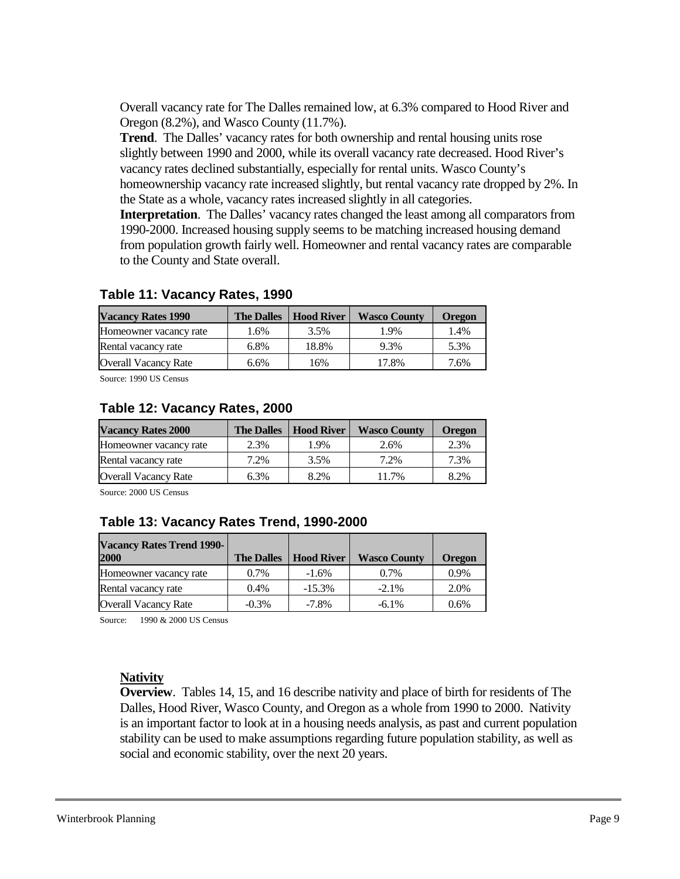Overall vacancy rate for The Dalles remained low, at 6.3% compared to Hood River and Oregon (8.2%), and Wasco County (11.7%).

**Trend**. The Dalles' vacancy rates for both ownership and rental housing units rose slightly between 1990 and 2000, while its overall vacancy rate decreased. Hood River's vacancy rates declined substantially, especially for rental units. Wasco County's homeownership vacancy rate increased slightly, but rental vacancy rate dropped by 2%. In the State as a whole, vacancy rates increased slightly in all categories.

**Interpretation**. The Dalles' vacancy rates changed the least among all comparators from 1990-2000. Increased housing supply seems to be matching increased housing demand from population growth fairly well. Homeowner and rental vacancy rates are comparable to the County and State overall.

| <b>Vacancy Rates 1990</b>   | <b>The Dalles</b> | <b>Hood River</b> | <b>Wasco County</b> | <b>Oregon</b> |
|-----------------------------|-------------------|-------------------|---------------------|---------------|
| Homeowner vacancy rate      | 1.6%              | 3.5%              | 1.9%                | 1.4%          |
| Rental vacancy rate         | 6.8%              | 18.8%             | 9.3%                | 5.3%          |
| <b>Overall Vacancy Rate</b> | 6.6%              | 16%               | 17.8%               | 7.6%          |

### **Table 11: Vacancy Rates, 1990**

Source: 1990 US Census

### **Table 12: Vacancy Rates, 2000**

| <b>Vacancy Rates 2000</b>   | <b>The Dalles</b> | <b>Hood River</b> | <b>Wasco County</b> | <b>Oregon</b> |
|-----------------------------|-------------------|-------------------|---------------------|---------------|
| Homeowner vacancy rate      | 2.3%              | 1.9%              | 2.6%                | 2.3%          |
| Rental vacancy rate         | 7.2%              | 3.5%              | 7.2%                | 7.3%          |
| <b>Overall Vacancy Rate</b> | 6.3%              | 8.2%              | 11.7%               | 8.2%          |

Source: 2000 US Census

### **Table 13: Vacancy Rates Trend, 1990-2000**

| <b>Vacancy Rates Trend 1990-</b><br>2000 | <b>The Dalles</b> | <b>Hood River</b> | <b>Wasco County</b> | <b>Oregon</b> |
|------------------------------------------|-------------------|-------------------|---------------------|---------------|
| Homeowner vacancy rate                   | $0.7\%$           | $-1.6\%$          | $0.7\%$             | 0.9%          |
| Rental vacancy rate                      | 0.4%              | $-15.3%$          | $-2.1\%$            | 2.0%          |
| <b>Overall Vacancy Rate</b>              | $-0.3\%$          | $-7.8\%$          | $-6.1\%$            | $0.6\%$       |

Source: 1990 & 2000 US Census

### <span id="page-8-0"></span>**Nativity**

**Overview**. Tables 14, 15, and 16 describe nativity and place of birth for residents of The Dalles, Hood River, Wasco County, and Oregon as a whole from 1990 to 2000. Nativity is an important factor to look at in a housing needs analysis, as past and current population stability can be used to make assumptions regarding future population stability, as well as social and economic stability, over the next 20 years.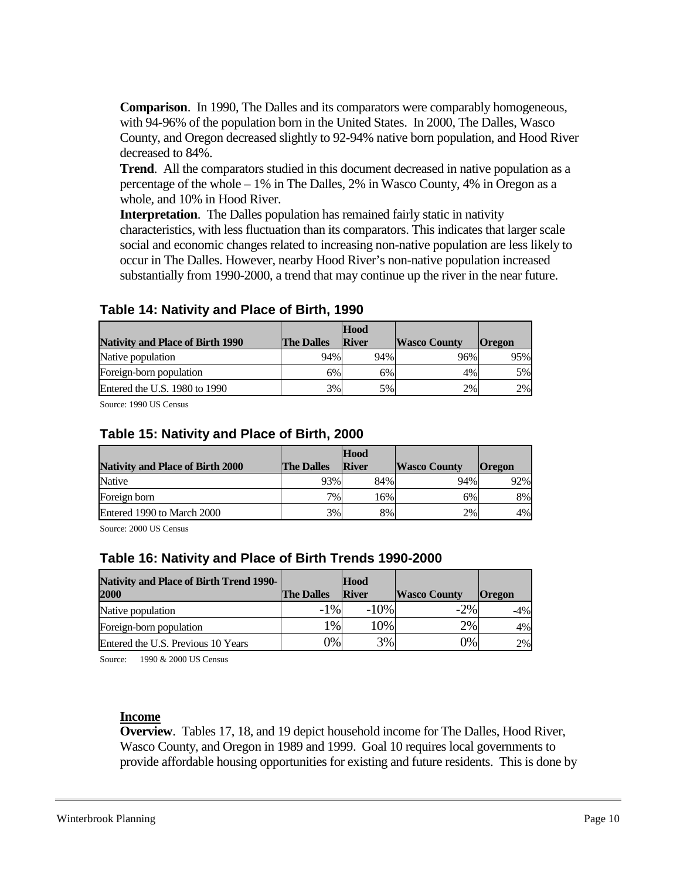**Comparison**. In 1990, The Dalles and its comparators were comparably homogeneous, with 94-96% of the population born in the United States. In 2000, The Dalles, Wasco County, and Oregon decreased slightly to 92-94% native born population, and Hood River decreased to 84%.

**Trend**. All the comparators studied in this document decreased in native population as a percentage of the whole – 1% in The Dalles, 2% in Wasco County, 4% in Oregon as a whole, and 10% in Hood River.

**Interpretation**. The Dalles population has remained fairly static in nativity characteristics, with less fluctuation than its comparators. This indicates that larger scale social and economic changes related to increasing non-native population are less likely to occur in The Dalles. However, nearby Hood River's non-native population increased substantially from 1990-2000, a trend that may continue up the river in the near future.

#### **Nativity and Place of Birth 1990 The Dalles Hood River Wasco County Oregon** Native population  $\begin{array}{|c|c|c|c|c|c|c|c|} \hline \end{array}$  94% 96% 96% 95% Foreign-born population  $6\%$  6% 6% 4% 4% 5% Entered the U.S. 1980 to 1990  $\vert$  3% 5% 2% 2% 2% 2%

## **Table 14: Nativity and Place of Birth, 1990**

Source: 1990 US Census

### **Table 15: Nativity and Place of Birth, 2000**

| <b>Nativity and Place of Birth 2000</b> | <b>The Dalles</b> | Hood<br><b>River</b> | <b>Wasco County</b> | <b>Oregon</b> |
|-----------------------------------------|-------------------|----------------------|---------------------|---------------|
| Native                                  | 93%               | 84%                  | 94%                 | 92%           |
| Foreign born                            | 7%                | 16%                  | 6%                  | 8%            |
| Entered 1990 to March 2000              | 3%                | 8%                   | 2%                  | 4%            |

Source: 2000 US Census

### **Table 16: Nativity and Place of Birth Trends 1990-2000**

| <b>Nativity and Place of Birth Trend 1990-</b><br>2000 | <b>The Dalles</b> | Hood<br><b>River</b> | <b>Wasco County</b> | <b>Oregon</b> |
|--------------------------------------------------------|-------------------|----------------------|---------------------|---------------|
| Native population                                      | $-1\%$            | $-10\%$              | $-2\%$              | $-4\%$        |
| Foreign-born population                                | 1%                | 10%                  | 2%1                 | 4%            |
| Entered the U.S. Previous 10 Years                     | 0%                | 3%                   | 0%                  | 2%            |

Source: 1990 & 2000 US Census

### <span id="page-9-0"></span>**Income**

**Overview**. Tables 17, 18, and 19 depict household income for The Dalles, Hood River, Wasco County, and Oregon in 1989 and 1999. Goal 10 requires local governments to provide affordable housing opportunities for existing and future residents. This is done by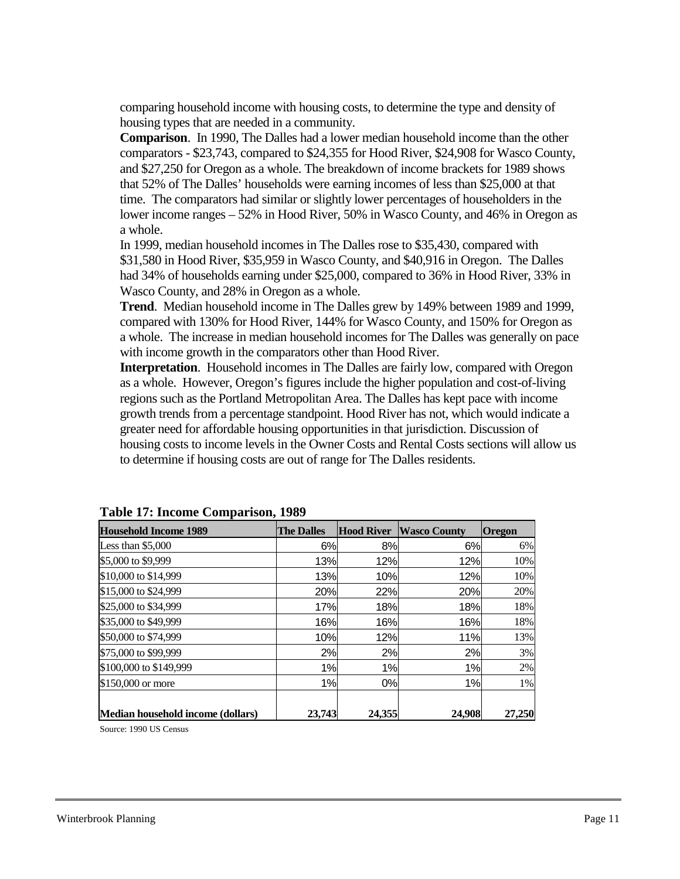comparing household income with housing costs, to determine the type and density of housing types that are needed in a community.

**Comparison**. In 1990, The Dalles had a lower median household income than the other comparators - \$23,743, compared to \$24,355 for Hood River, \$24,908 for Wasco County, and \$27,250 for Oregon as a whole. The breakdown of income brackets for 1989 shows that 52% of The Dalles' households were earning incomes of less than \$25,000 at that time. The comparators had similar or slightly lower percentages of householders in the lower income ranges – 52% in Hood River, 50% in Wasco County, and 46% in Oregon as a whole.

In 1999, median household incomes in The Dalles rose to \$35,430, compared with \$31,580 in Hood River, \$35,959 in Wasco County, and \$40,916 in Oregon. The Dalles had 34% of households earning under \$25,000, compared to 36% in Hood River, 33% in Wasco County, and 28% in Oregon as a whole.

**Trend**. Median household income in The Dalles grew by 149% between 1989 and 1999, compared with 130% for Hood River, 144% for Wasco County, and 150% for Oregon as a whole. The increase in median household incomes for The Dalles was generally on pace with income growth in the comparators other than Hood River.

**Interpretation**. Household incomes in The Dalles are fairly low, compared with Oregon as a whole. However, Oregon's figures include the higher population and cost-of-living regions such as the Portland Metropolitan Area. The Dalles has kept pace with income growth trends from a percentage standpoint. Hood River has not, which would indicate a greater need for affordable housing opportunities in that jurisdiction. Discussion of housing costs to income levels in the Owner Costs and Rental Costs sections will allow us to determine if housing costs are out of range for The Dalles residents.

| <b>Household Income 1989</b>      | <b>The Dalles</b> | <b>Hood River</b> | <b>Wasco County</b> | <b>Oregon</b> |
|-----------------------------------|-------------------|-------------------|---------------------|---------------|
| Less than $$5,000$                | 6%                | 8%                | 6%                  | 6%            |
| \$5,000 to \$9,999                | 13%               | 12%               | 12%                 | 10%           |
| \$10,000 to \$14,999              | 13%               | 10%               | 12%                 | 10%           |
| \$15,000 to \$24,999              | 20%               | 22%               | 20%                 | 20%           |
| \$25,000 to \$34,999              | 17%               | 18%               | 18%                 | 18%           |
| \$35,000 to \$49,999              | 16%               | 16%               | 16%                 | 18%           |
| \$50,000 to \$74,999              | 10%               | 12%               | 11%                 | 13%           |
| \$75,000 to \$99,999              | 2%                | 2%                | 2%                  | 3%            |
| \$100,000 to \$149,999            | 1%                | 1%                | 1%                  | 2%            |
| \$150,000 or more                 | 1%                | 0%                | 1%                  | 1%            |
| Median household income (dollars) | 23,743            | 24,355            | 24.908              | 27,250        |

**Table 17: Income Comparison, 1989**

Source: 1990 US Census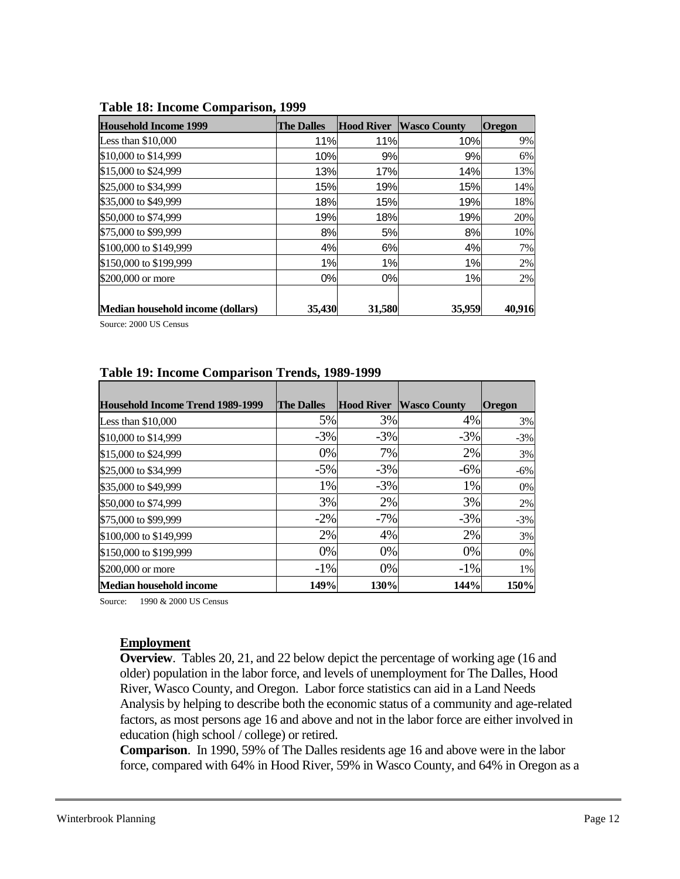| <b>Household Income 1999</b>      | <b>The Dalles</b> | <b>Hood River</b> | <b>Wasco County</b> | <b>Oregon</b> |
|-----------------------------------|-------------------|-------------------|---------------------|---------------|
| Less than $$10,000$               | 11%               | 11%               | 10%                 | 9%            |
| \$10,000 to \$14,999              | 10%               | 9%                | 9%                  | 6%            |
| \$15,000 to \$24,999              | 13%               | 17%               | 14%                 | 13%           |
| \$25,000 to \$34,999              | 15%               | 19%               | 15%                 | 14%           |
| \$35,000 to \$49,999              | 18%               | 15%               | 19%                 | 18%           |
| \$50,000 to \$74,999              | 19%               | 18%               | 19%                 | 20%           |
| \$75,000 to \$99,999              | 8%                | <b>5%</b>         | 8%                  | 10%           |
| \$100,000 to \$149,999            | 4%                | 6%                | 4%                  | 7%            |
| \$150,000 to \$199,999            | 1%                | 1%                | 1%                  | 2%            |
| \$200,000 or more                 | 0%                | 0%                | 1%                  | 2%            |
|                                   |                   |                   |                     |               |
| Median household income (dollars) | 35,430            | 31,580            | 35,959              | 40,916        |

#### **Table 18: Income Comparison, 1999**

Source: 2000 US Census

### **Table 19: Income Comparison Trends, 1989-1999**

| <b>Household Income Trend 1989-1999</b> | <b>The Dalles</b> | <b>Hood River</b> | <b>Wasco County</b> | <b>Oregon</b> |
|-----------------------------------------|-------------------|-------------------|---------------------|---------------|
| Less than $$10,000$                     | 5%                | 3%                | 4%                  | 3%            |
| \$10,000 to \$14,999                    | $-3%$             | $-3%$             | $-3%$               | $-3%$         |
| \$15,000 to \$24,999                    | 0%                | 7%                | 2%                  | 3%            |
| \$25,000 to \$34,999                    | $-5%$             | $-3%$             | $-6%$               | $-6%$         |
| \$35,000 to \$49,999                    | 1%                | $-3%$             | 1%                  | $0\%$         |
| \$50,000 to \$74,999                    | 3%                | 2%                | 3%                  | 2%            |
| \$75,000 to \$99,999                    | $-2\%$            | $-7%$             | $-3\%$              | $-3%$         |
| \$100,000 to \$149,999                  | 2%                | 4%                | 2%                  | 3%            |
| \$150,000 to \$199,999                  | 0%                | 0%                | 0%                  | 0%            |
| \$200,000 or more                       | $-1\%$            | 0%                | $-1\%$              | 1%            |
| <b>Median household income</b>          | 149%              | 130%              | 144%                | 150%          |

Source: 1990 & 2000 US Census

### <span id="page-11-0"></span>**Employment**

**Overview**. Tables 20, 21, and 22 below depict the percentage of working age (16 and older) population in the labor force, and levels of unemployment for The Dalles, Hood River, Wasco County, and Oregon. Labor force statistics can aid in a Land Needs Analysis by helping to describe both the economic status of a community and age-related factors, as most persons age 16 and above and not in the labor force are either involved in education (high school / college) or retired.

**Comparison**. In 1990, 59% of The Dalles residents age 16 and above were in the labor force, compared with 64% in Hood River, 59% in Wasco County, and 64% in Oregon as a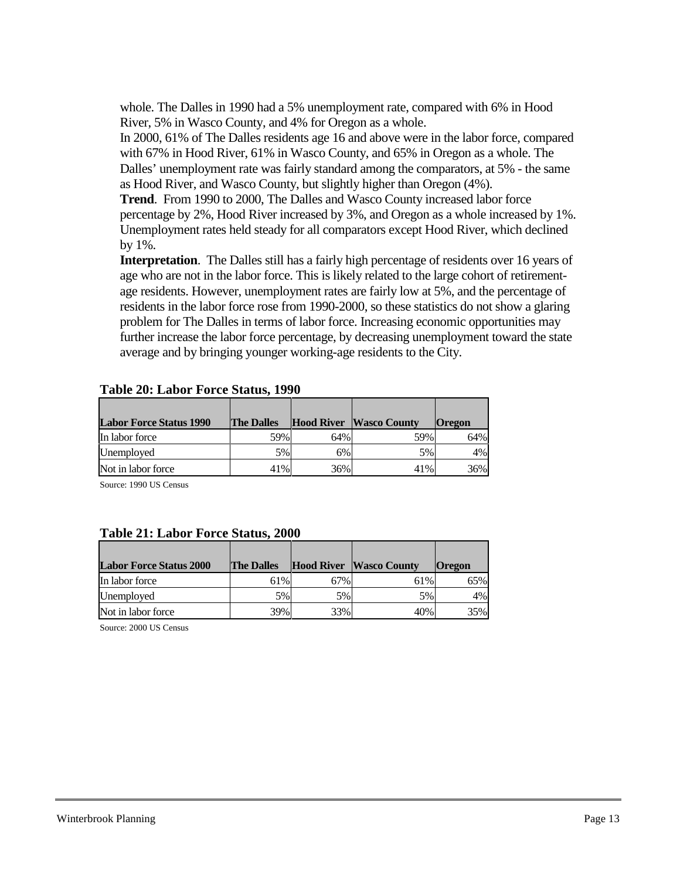whole. The Dalles in 1990 had a 5% unemployment rate, compared with 6% in Hood River, 5% in Wasco County, and 4% for Oregon as a whole.

In 2000, 61% of The Dalles residents age 16 and above were in the labor force, compared with 67% in Hood River, 61% in Wasco County, and 65% in Oregon as a whole. The Dalles' unemployment rate was fairly standard among the comparators, at 5% - the same as Hood River, and Wasco County, but slightly higher than Oregon (4%).

**Trend**. From 1990 to 2000, The Dalles and Wasco County increased labor force percentage by 2%, Hood River increased by 3%, and Oregon as a whole increased by 1%. Unemployment rates held steady for all comparators except Hood River, which declined by 1%.

**Interpretation**. The Dalles still has a fairly high percentage of residents over 16 years of age who are not in the labor force. This is likely related to the large cohort of retirementage residents. However, unemployment rates are fairly low at 5%, and the percentage of residents in the labor force rose from 1990-2000, so these statistics do not show a glaring problem for The Dalles in terms of labor force. Increasing economic opportunities may further increase the labor force percentage, by decreasing unemployment toward the state average and by bringing younger working-age residents to the City.

| <b>Labor Force Status 1990</b> | <b>The Dalles</b> |     | <b>Hood River Wasco County</b> | <b>Oregon</b> |
|--------------------------------|-------------------|-----|--------------------------------|---------------|
| In labor force                 | 59%               | 64% | 59%                            | 64%           |
| Unemployed                     | 5%                | 6%  | 5%                             | 4%            |
| Not in labor force             | 41%               | 36% | 41%                            | 36%           |

### **Table 20: Labor Force Status, 1990**

Source: 1990 US Census

### **Table 21: Labor Force Status, 2000**

| <b>Labor Force Status 2000</b> | <b>The Dalles</b> |     | <b>Hood River Wasco County</b> | <b>Oregon</b> |
|--------------------------------|-------------------|-----|--------------------------------|---------------|
| In labor force                 | 61%               | 67% | 61%                            | 65%           |
| Unemployed                     | 5%                | 5%  | 5%                             | 4%            |
| Not in labor force             | 39%               | 33% | 40%                            | 35%           |

Source: 2000 US Census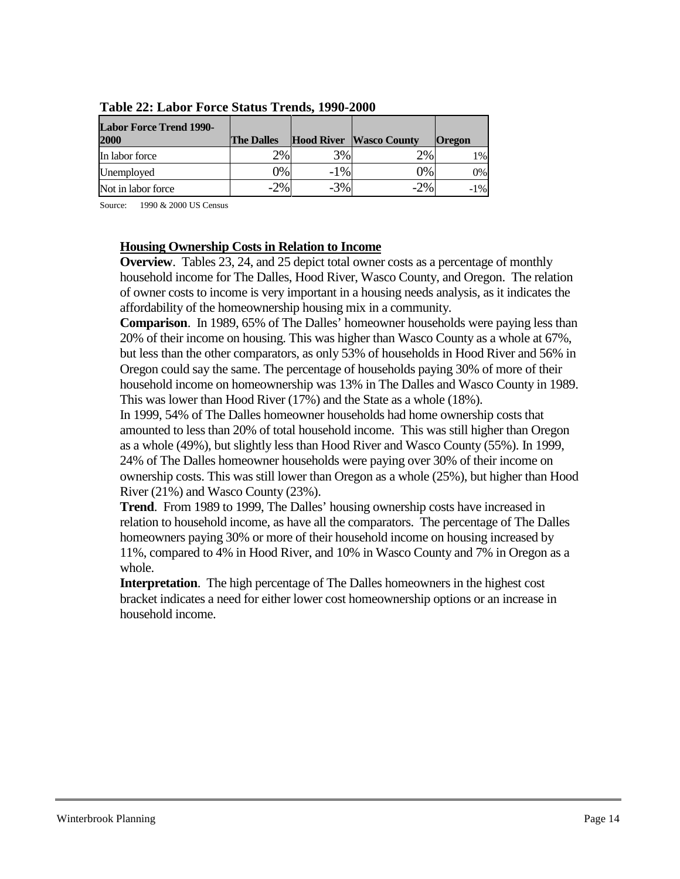| <b>Labor Force Trend 1990-</b><br>2000 | <b>The Dalles</b> |        | <b>Hood River Wasco County</b> | <b>Oregon</b> |
|----------------------------------------|-------------------|--------|--------------------------------|---------------|
| In labor force                         | 2%                | 3%     | $2\%$                          | $1\%$         |
| Unemployed                             | 0%                | $-1\%$ | 0%                             | 0%            |
| Not in labor force                     | $-2\%$            | $-3%$  | $-2\%$                         | $-1\%$        |

**Table 22: Labor Force Status Trends, 1990-2000**

Source: 1990 & 2000 US Census

### <span id="page-13-0"></span>**Housing Ownership Costs in Relation to Income**

**Overview**. Tables 23, 24, and 25 depict total owner costs as a percentage of monthly household income for The Dalles, Hood River, Wasco County, and Oregon. The relation of owner costs to income is very important in a housing needs analysis, as it indicates the affordability of the homeownership housing mix in a community.

**Comparison**. In 1989, 65% of The Dalles' homeowner households were paying less than 20% of their income on housing. This was higher than Wasco County as a whole at 67%, but less than the other comparators, as only 53% of households in Hood River and 56% in Oregon could say the same. The percentage of households paying 30% of more of their household income on homeownership was 13% in The Dalles and Wasco County in 1989. This was lower than Hood River (17%) and the State as a whole (18%).

In 1999, 54% of The Dalles homeowner households had home ownership costs that amounted to less than 20% of total household income. This was still higher than Oregon as a whole (49%), but slightly less than Hood River and Wasco County (55%). In 1999, 24% of The Dalles homeowner households were paying over 30% of their income on ownership costs. This was still lower than Oregon as a whole (25%), but higher than Hood River (21%) and Wasco County (23%).

**Trend**. From 1989 to 1999, The Dalles' housing ownership costs have increased in relation to household income, as have all the comparators. The percentage of The Dalles homeowners paying 30% or more of their household income on housing increased by 11%, compared to 4% in Hood River, and 10% in Wasco County and 7% in Oregon as a whole.

**Interpretation**. The high percentage of The Dalles homeowners in the highest cost bracket indicates a need for either lower cost homeownership options or an increase in household income.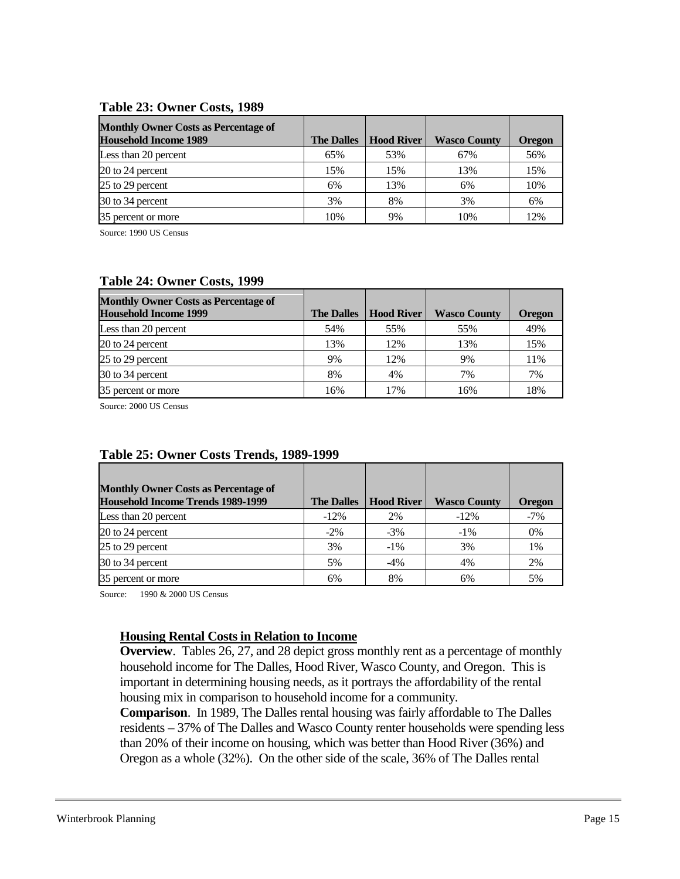#### **Table 23: Owner Costs, 1989**

| <b>Monthly Owner Costs as Percentage of</b><br><b>Household Income 1989</b> | <b>The Dalles</b> | <b>Hood River</b> | <b>Wasco County</b> | <b>Oregon</b> |
|-----------------------------------------------------------------------------|-------------------|-------------------|---------------------|---------------|
| Less than 20 percent                                                        | 65%               | 53%               | 67%                 | 56%           |
| 20 to 24 percent                                                            | 15%               | 15%               | 13%                 | 15%           |
| 25 to 29 percent                                                            | 6%                | 13%               | 6%                  | 10%           |
| 30 to 34 percent                                                            | 3%                | 8%                | 3%                  | 6%            |
| 35 percent or more                                                          | 10%               | 9%                | 10%                 | 12%           |

Source: 1990 US Census

### **Table 24: Owner Costs, 1999**

| <b>Monthly Owner Costs as Percentage of</b> |                   |                   |                     |               |
|---------------------------------------------|-------------------|-------------------|---------------------|---------------|
| <b>Household Income 1999</b>                | <b>The Dalles</b> | <b>Hood River</b> | <b>Wasco County</b> | <b>Oregon</b> |
| Less than 20 percent                        | 54%               | 55%               | 55%                 | 49%           |
| 20 to 24 percent                            | 13%               | 12%               | 13%                 | 15%           |
| 25 to 29 percent                            | 9%                | 12%               | 9%                  | 11%           |
| 30 to 34 percent                            | 8%                | 4%                | 7%                  | 7%            |
| 35 percent or more                          | 16%               | 17%               | 16%                 | 18%           |

Source: 2000 US Census

| <b>Monthly Owner Costs as Percentage of</b><br><b>Household Income Trends 1989-1999</b> | <b>The Dalles</b> | <b>Hood River</b> | <b>Wasco County</b> | <b>Oregon</b> |
|-----------------------------------------------------------------------------------------|-------------------|-------------------|---------------------|---------------|
| Less than 20 percent                                                                    | $-12\%$           | 2%                | $-12\%$             | $-7\%$        |
| 20 to 24 percent                                                                        | $-2\%$            | $-3%$             | $-1\%$              | 0%            |
| 25 to 29 percent                                                                        | 3%                | $-1\%$            | 3%                  | 1%            |
| 30 to 34 percent                                                                        | 5%                | $-4%$             | 4%                  | 2%            |
| 35 percent or more                                                                      | 6%                | 8%                | 6%                  | .5%           |

### **Table 25: Owner Costs Trends, 1989-1999**

Source: 1990 & 2000 US Census

### <span id="page-14-0"></span>**Housing Rental Costs in Relation to Income**

**Overview**. Tables 26, 27, and 28 depict gross monthly rent as a percentage of monthly household income for The Dalles, Hood River, Wasco County, and Oregon. This is important in determining housing needs, as it portrays the affordability of the rental housing mix in comparison to household income for a community.

**Comparison**. In 1989, The Dalles rental housing was fairly affordable to The Dalles residents – 37% of The Dalles and Wasco County renter households were spending less than 20% of their income on housing, which was better than Hood River (36%) and Oregon as a whole (32%). On the other side of the scale, 36% of The Dalles rental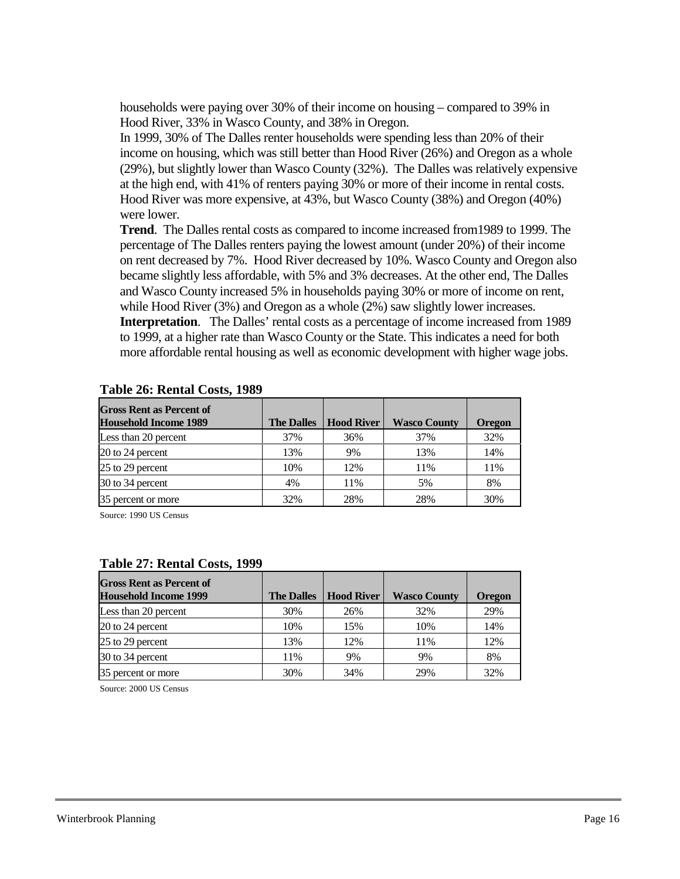households were paying over 30% of their income on housing – compared to 39% in Hood River, 33% in Wasco County, and 38% in Oregon.

In 1999, 30% of The Dalles renter households were spending less than 20% of their income on housing, which was still better than Hood River (26%) and Oregon as a whole (29%), but slightly lower than Wasco County (32%). The Dalles was relatively expensive at the high end, with 41% of renters paying 30% or more of their income in rental costs. Hood River was more expensive, at 43%, but Wasco County (38%) and Oregon (40%) were lower.

**Trend**. The Dalles rental costs as compared to income increased from1989 to 1999. The percentage of The Dalles renters paying the lowest amount (under 20%) of their income on rent decreased by 7%. Hood River decreased by 10%. Wasco County and Oregon also became slightly less affordable, with 5% and 3% decreases. At the other end, The Dalles and Wasco County increased 5% in households paying 30% or more of income on rent, while Hood River (3%) and Oregon as a whole (2%) saw slightly lower increases.

**Interpretation**. The Dalles' rental costs as a percentage of income increased from 1989 to 1999, at a higher rate than Wasco County or the State. This indicates a need for both more affordable rental housing as well as economic development with higher wage jobs.

| <b>Gross Rent as Percent of</b> |                   |                   |                     |               |
|---------------------------------|-------------------|-------------------|---------------------|---------------|
| <b>Household Income 1989</b>    | <b>The Dalles</b> | <b>Hood River</b> | <b>Wasco County</b> | <b>Oregon</b> |
| Less than 20 percent            | 37%               | 36%               | 37%                 | 32%           |
| 20 to 24 percent                | 13%               | 9%                | 13%                 | 14%           |
| 25 to 29 percent                | 10%               | 12%               | 11%                 | 11%           |
| 30 to 34 percent                | 4%                | 11%               | 5%                  | 8%            |
| 35 percent or more              | 32%               | 28%               | 28%                 | 30%           |

#### **Table 26: Rental Costs, 1989**

Source: 1990 US Census

#### **Table 27: Rental Costs, 1999**

| <b>Gross Rent as Percent of</b><br><b>Household Income 1999</b> | <b>The Dalles</b> | <b>Hood River</b> | <b>Wasco County</b> | <b>Oregon</b> |
|-----------------------------------------------------------------|-------------------|-------------------|---------------------|---------------|
| Less than 20 percent                                            | 30%               | 26%               | 32%                 | 29%           |
| 20 to 24 percent                                                | 10%               | 15%               | 10%                 | 14%           |
| 25 to 29 percent                                                | 13%               | 12%               | 11%                 | 12%           |
| 30 to 34 percent                                                | 11%               | 9%                | 9%                  | 8%            |
| 35 percent or more                                              | 30%               | 34%               | 29%                 | 32%           |

Source: 2000 US Census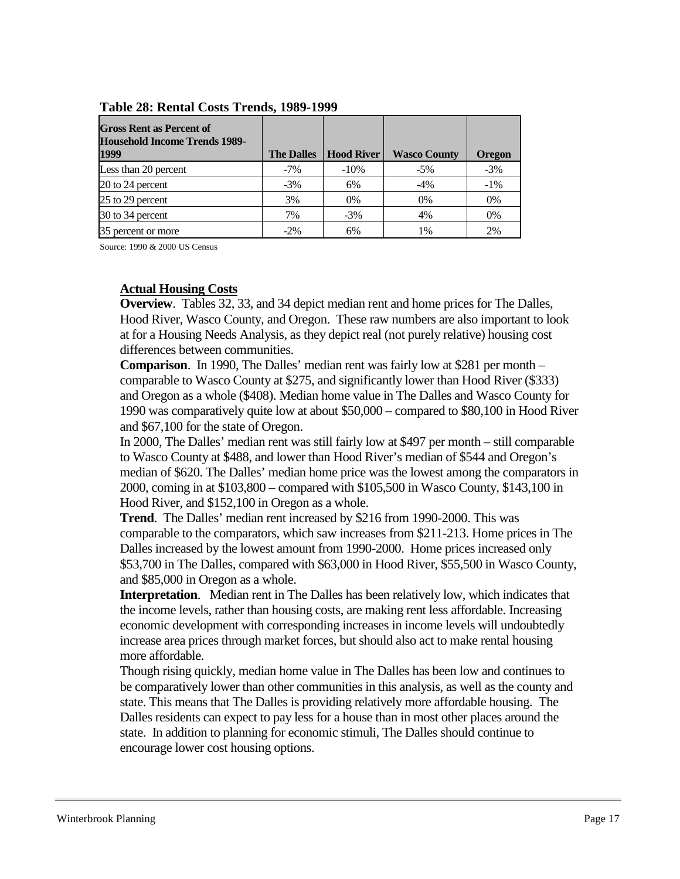| <b>Gross Rent as Percent of</b><br><b>Household Income Trends 1989-</b> |                   |                   |                     |               |
|-------------------------------------------------------------------------|-------------------|-------------------|---------------------|---------------|
| 1999                                                                    | <b>The Dalles</b> | <b>Hood River</b> | <b>Wasco County</b> | <b>Oregon</b> |
| Less than 20 percent                                                    | $-7\%$            | $-10%$            | $-5\%$              | $-3%$         |
| 20 to 24 percent                                                        | $-3\%$            | 6%                | $-4%$               | $-1\%$        |
| 25 to 29 percent                                                        | 3%                | $0\%$             | 0%                  | 0%            |
| 30 to 34 percent                                                        | 7%                | $-3\%$            | 4%                  | 0%            |
| 35 percent or more                                                      | $-2\%$            | 6%                | 1%                  | 2%            |

**Table 28: Rental Costs Trends, 1989-1999**

Source: 1990 & 2000 US Census

#### <span id="page-16-0"></span>**Actual Housing Costs**

**Overview**. Tables 32, 33, and 34 depict median rent and home prices for The Dalles, Hood River, Wasco County, and Oregon. These raw numbers are also important to look at for a Housing Needs Analysis, as they depict real (not purely relative) housing cost differences between communities.

**Comparison**. In 1990, The Dalles' median rent was fairly low at \$281 per month – comparable to Wasco County at \$275, and significantly lower than Hood River (\$333) and Oregon as a whole (\$408). Median home value in The Dalles and Wasco County for 1990 was comparatively quite low at about \$50,000 – compared to \$80,100 in Hood River and \$67,100 for the state of Oregon.

In 2000, The Dalles' median rent was still fairly low at \$497 per month – still comparable to Wasco County at \$488, and lower than Hood River's median of \$544 and Oregon's median of \$620. The Dalles' median home price was the lowest among the comparators in 2000, coming in at \$103,800 – compared with \$105,500 in Wasco County, \$143,100 in Hood River, and \$152,100 in Oregon as a whole.

**Trend**. The Dalles' median rent increased by \$216 from 1990-2000. This was comparable to the comparators, which saw increases from \$211-213. Home prices in The Dalles increased by the lowest amount from 1990-2000. Home prices increased only \$53,700 in The Dalles, compared with \$63,000 in Hood River, \$55,500 in Wasco County, and \$85,000 in Oregon as a whole.

**Interpretation**. Median rent in The Dalles has been relatively low, which indicates that the income levels, rather than housing costs, are making rent less affordable. Increasing economic development with corresponding increases in income levels will undoubtedly increase area prices through market forces, but should also act to make rental housing more affordable.

Though rising quickly, median home value in The Dalles has been low and continues to be comparatively lower than other communities in this analysis, as well as the county and state. This means that The Dalles is providing relatively more affordable housing. The Dalles residents can expect to pay less for a house than in most other places around the state. In addition to planning for economic stimuli, The Dalles should continue to encourage lower cost housing options.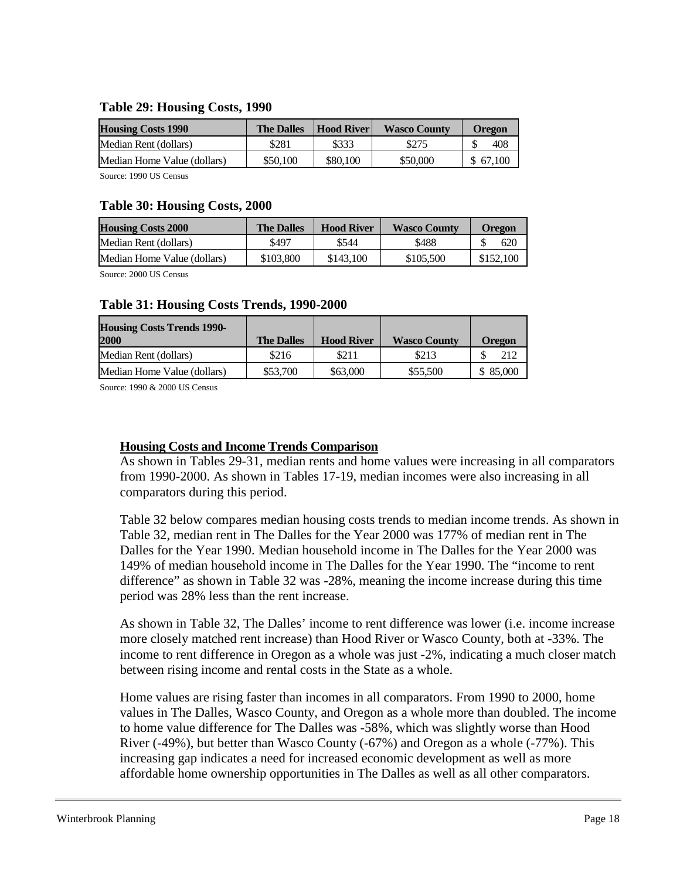### **Table 29: Housing Costs, 1990**

| <b>Housing Costs 1990</b>   | <b>The Dalles</b> | <b>Hood River</b> | <b>Wasco County</b> | Oregon   |
|-----------------------------|-------------------|-------------------|---------------------|----------|
| Median Rent (dollars)       | \$281             | \$333             | \$275               | 408      |
| Median Home Value (dollars) | \$50,100          | \$80,100          | \$50,000            | \$67,100 |

Source: 1990 US Census

#### **Table 30: Housing Costs, 2000**

| <b>Housing Costs 2000</b>   | <b>The Dalles</b> | <b>Hood River</b> | <b>Wasco County</b> | <b>Oregon</b> |
|-----------------------------|-------------------|-------------------|---------------------|---------------|
| Median Rent (dollars)       | \$497             | \$544             | \$488               | 620           |
| Median Home Value (dollars) | \$103,800         | \$143,100         | \$105,500           | \$152,100     |

Source: 2000 US Census

#### **Table 31: Housing Costs Trends, 1990-2000**

| <b>Housing Costs Trends 1990-</b><br>2000 | <b>The Dalles</b> | <b>Hood River</b> | <b>Wasco County</b> | <b>Oregon</b> |
|-------------------------------------------|-------------------|-------------------|---------------------|---------------|
| Median Rent (dollars)                     | \$216             | \$211             | \$213               | 212           |
| Median Home Value (dollars)               | \$53,700          | \$63,000          | \$55,500            | \$ 85,000     |

Source: 1990 & 2000 US Census

### <span id="page-17-0"></span>**Housing Costs and Income Trends Comparison**

As shown in Tables 29-31, median rents and home values were increasing in all comparators from 1990-2000. As shown in Tables 17-19, median incomes were also increasing in all comparators during this period.

Table 32 below compares median housing costs trends to median income trends. As shown in Table 32, median rent in The Dalles for the Year 2000 was 177% of median rent in The Dalles for the Year 1990. Median household income in The Dalles for the Year 2000 was 149% of median household income in The Dalles for the Year 1990. The "income to rent difference" as shown in Table 32 was -28%, meaning the income increase during this time period was 28% less than the rent increase.

As shown in Table 32, The Dalles' income to rent difference was lower (i.e. income increase more closely matched rent increase) than Hood River or Wasco County, both at -33%. The income to rent difference in Oregon as a whole was just -2%, indicating a much closer match between rising income and rental costs in the State as a whole.

Home values are rising faster than incomes in all comparators. From 1990 to 2000, home values in The Dalles, Wasco County, and Oregon as a whole more than doubled. The income to home value difference for The Dalles was -58%, which was slightly worse than Hood River (-49%), but better than Wasco County (-67%) and Oregon as a whole (-77%). This increasing gap indicates a need for increased economic development as well as more affordable home ownership opportunities in The Dalles as well as all other comparators.